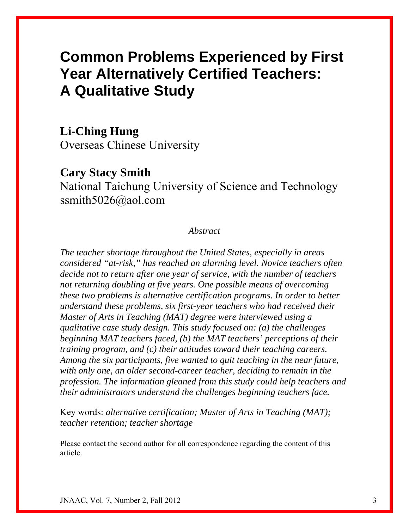# **Common Problems Experienced by First Year Alternatively Certified Teachers: A Qualitative Study**

## **Li-Ching Hung**

Overseas Chinese University

# **Cary Stacy Smith**

National Taichung University of Science and Technology ssmith5026@aol.com

### *Abstract*

*The teacher shortage throughout the United States, especially in areas considered "at-risk," has reached an alarming level. Novice teachers often decide not to return after one year of service, with the number of teachers not returning doubling at five years. One possible means of overcoming these two problems is alternative certification programs. In order to better understand these problems, six first-year teachers who had received their Master of Arts in Teaching (MAT) degree were interviewed using a qualitative case study design. This study focused on: (a) the challenges beginning MAT teachers faced, (b) the MAT teachers' perceptions of their training program, and (c) their attitudes toward their teaching careers. Among the six participants, five wanted to quit teaching in the near future, with only one, an older second-career teacher, deciding to remain in the profession. The information gleaned from this study could help teachers and their administrators understand the challenges beginning teachers face.* 

Key words: *alternative certification; Master of Arts in Teaching (MAT); teacher retention; teacher shortage* 

Please contact the second author for all correspondence regarding the content of this article.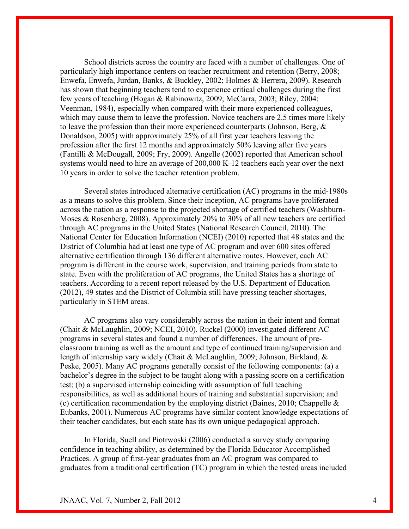School districts across the country are faced with a number of challenges. One of particularly high importance centers on teacher recruitment and retention (Berry, 2008; Enwefa, Enwefa, Jurdan, Banks, & Buckley, 2002; Holmes & Herrera, 2009). Research has shown that beginning teachers tend to experience critical challenges during the first few years of teaching (Hogan & Rabinowitz, 2009; McCarra, 2003; Riley, 2004; Veenman, 1984), especially when compared with their more experienced colleagues, which may cause them to leave the profession. Novice teachers are 2.5 times more likely to leave the profession than their more experienced counterparts (Johnson, Berg, & Donaldson, 2005) with approximately 25% of all first year teachers leaving the profession after the first 12 months and approximately 50% leaving after five years (Fantilli & McDougall, 2009; Fry, 2009). Angelle (2002) reported that American school systems would need to hire an average of 200,000 K-12 teachers each year over the next 10 years in order to solve the teacher retention problem.

Several states introduced alternative certification (AC) programs in the mid-1980s as a means to solve this problem. Since their inception, AC programs have proliferated across the nation as a response to the projected shortage of certified teachers (Washburn-Moses & Rosenberg, 2008). Approximately 20% to 30% of all new teachers are certified through AC programs in the United States (National Research Council, 2010). The National Center for Education Information (NCEI) (2010) reported that 48 states and the District of Columbia had at least one type of AC program and over 600 sites offered alternative certification through 136 different alternative routes. However, each AC program is different in the course work, supervision, and training periods from state to state. Even with the proliferation of AC programs, the United States has a shortage of teachers. According to a recent report released by the U.S. Department of Education (2012), 49 states and the District of Columbia still have pressing teacher shortages, particularly in STEM areas.

AC programs also vary considerably across the nation in their intent and format (Chait & McLaughlin, 2009; NCEI, 2010). Ruckel (2000) investigated different AC programs in several states and found a number of differences. The amount of preclassroom training as well as the amount and type of continued training/supervision and length of internship vary widely (Chait & McLaughlin, 2009; Johnson, Birkland, & Peske, 2005). Many AC programs generally consist of the following components: (a) a bachelor's degree in the subject to be taught along with a passing score on a certification test; (b) a supervised internship coinciding with assumption of full teaching responsibilities, as well as additional hours of training and substantial supervision; and (c) certification recommendation by the employing district (Baines, 2010; Chappelle & Eubanks, 2001). Numerous AC programs have similar content knowledge expectations of their teacher candidates, but each state has its own unique pedagogical approach.

In Florida, Suell and Piotrwoski (2006) conducted a survey study comparing confidence in teaching ability, as determined by the Florida Educator Accomplished Practices. A group of first-year graduates from an AC program was compared to graduates from a traditional certification (TC) program in which the tested areas included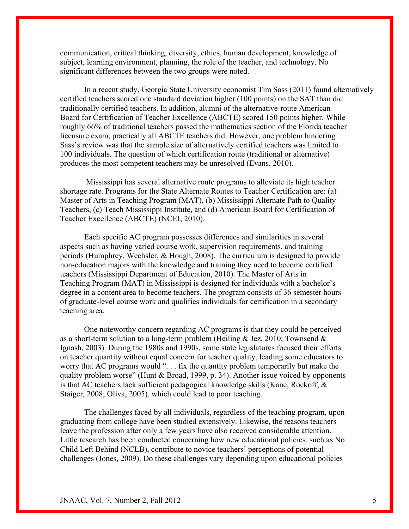communication, critical thinking, diversity, ethics, human development, knowledge of subject, learning environment, planning, the role of the teacher, and technology. No significant differences between the two groups were noted.

In a recent study, Georgia State University economist Tim Sass (2011) found alternatively certified teachers scored one standard deviation higher (100 points) on the SAT than did traditionally certified teachers. In addition, alumni of the alternative-route American Board for Certification of Teacher Excellence (ABCTE) scored 150 points higher. While roughly 66% of traditional teachers passed the mathematics section of the Florida teacher licensure exam, practically all ABCTE teachers did. However, one problem hindering Sass's review was that the sample size of alternatively certified teachers was limited to 100 individuals. The question of which certification route (traditional or alternative) produces the most competent teachers may be unresolved (Evans, 2010).

 Mississippi has several alternative route programs to alleviate its high teacher shortage rate. Programs for the State Alternate Routes to Teacher Certification are: (a) Master of Arts in Teaching Program (MAT), (b) Mississippi Alternate Path to Quality Teachers, (c) Teach Mississippi Institute, and (d) American Board for Certification of Teacher Excellence (ABCTE) (NCEI, 2010).

Each specific AC program possesses differences and similarities in several aspects such as having varied course work, supervision requirements, and training periods (Humphrey, Wechsler, & Hough, 2008). The curriculum is designed to provide non-education majors with the knowledge and training they need to become certified teachers (Mississippi Department of Education, 2010). The Master of Arts in Teaching Program (MAT) in Mississippi is designed for individuals with a bachelor's degree in a content area to become teachers. The program consists of 36 semester hours of graduate-level course work and qualifies individuals for certification in a secondary teaching area.

One noteworthy concern regarding AC programs is that they could be perceived as a short-term solution to a long-term problem (Heiling & Jez, 2010; Townsend & Ignash, 2003). During the 1980s and 1990s, some state legislatures focused their efforts on teacher quantity without equal concern for teacher quality, leading some educators to worry that AC programs would ". . . fix the quantity problem temporarily but make the quality problem worse" (Hunt & Broad, 1999, p. 34). Another issue voiced by opponents is that AC teachers lack sufficient pedagogical knowledge skills (Kane, Rockoff, & Staiger, 2008; Oliva, 2005), which could lead to poor teaching.

The challenges faced by all individuals, regardless of the teaching program, upon graduating from college have been studied extensively. Likewise, the reasons teachers leave the profession after only a few years have also received considerable attention. Little research has been conducted concerning how new educational policies, such as No Child Left Behind (NCLB), contribute to novice teachers' perceptions of potential challenges (Jones, 2009). Do these challenges vary depending upon educational policies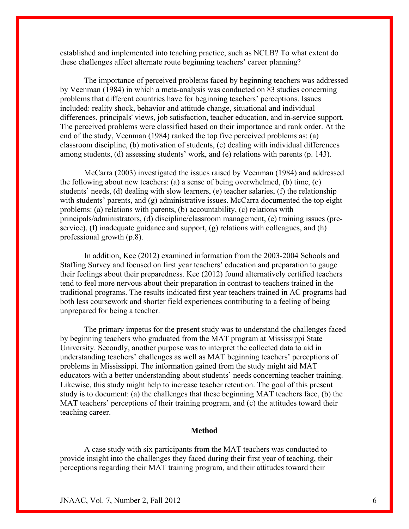established and implemented into teaching practice, such as NCLB? To what extent do these challenges affect alternate route beginning teachers' career planning?

The importance of perceived problems faced by beginning teachers was addressed by Veenman (1984) in which a meta-analysis was conducted on 83 studies concerning problems that different countries have for beginning teachers' perceptions. Issues included: reality shock, behavior and attitude change, situational and individual differences, principals' views, job satisfaction, teacher education, and in-service support. The perceived problems were classified based on their importance and rank order. At the end of the study, Veenman (1984) ranked the top five perceived problems as: (a) classroom discipline, (b) motivation of students, (c) dealing with individual differences among students, (d) assessing students' work, and (e) relations with parents (p. 143).

McCarra (2003) investigated the issues raised by Veenman (1984) and addressed the following about new teachers: (a) a sense of being overwhelmed, (b) time, (c) students' needs, (d) dealing with slow learners, (e) teacher salaries, (f) the relationship with students' parents, and (g) administrative issues. McCarra documented the top eight problems: (a) relations with parents, (b) accountability, (c) relations with principals/administrators, (d) discipline/classroom management, (e) training issues (preservice), (f) inadequate guidance and support, (g) relations with colleagues, and (h) professional growth (p.8).

In addition, Kee (2012) examined information from the 2003-2004 Schools and Staffing Survey and focused on first year teachers' education and preparation to gauge their feelings about their preparedness. Kee (2012) found alternatively certified teachers tend to feel more nervous about their preparation in contrast to teachers trained in the traditional programs. The results indicated first year teachers trained in AC programs had both less coursework and shorter field experiences contributing to a feeling of being unprepared for being a teacher.

The primary impetus for the present study was to understand the challenges faced by beginning teachers who graduated from the MAT program at Mississippi State University. Secondly, another purpose was to interpret the collected data to aid in understanding teachers' challenges as well as MAT beginning teachers' perceptions of problems in Mississippi. The information gained from the study might aid MAT educators with a better understanding about students' needs concerning teacher training. Likewise, this study might help to increase teacher retention. The goal of this present study is to document: (a) the challenges that these beginning MAT teachers face, (b) the MAT teachers' perceptions of their training program, and (c) the attitudes toward their teaching career.

#### **Method**

A case study with six participants from the MAT teachers was conducted to provide insight into the challenges they faced during their first year of teaching, their perceptions regarding their MAT training program, and their attitudes toward their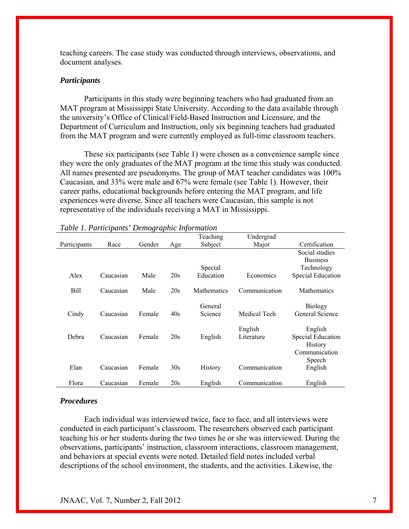teaching careers. The case study was conducted through interviews, observations, and document analyses.

#### *Participants*

Participants in this study were beginning teachers who had graduated from an MAT program at Mississippi State University. According to the data available through the university's Office of Clinical/Field-Based Instruction and Licensure, and the Department of Curriculum and Instruction, only six beginning teachers had graduated from the MAT program and were currently employed as full-time classroom teachers.

These six participants (see Table 1) were chosen as a convenience sample since they were the only graduates of the MAT program at the time this study was conducted. All names presented are pseudonyms. The group of MAT teacher candidates was 100% Caucasian, and 33% were male and 67% were female (see Table 1). However, their career paths, educational backgrounds before entering the MAT program, and life experiences were diverse. Since all teachers were Caucasian, this sample is not representative of the individuals receiving a MAT in Mississippi.

|              |           |        |     | Teaching           | Undergrad     |                          |
|--------------|-----------|--------|-----|--------------------|---------------|--------------------------|
| Participants | Race      | Gender | Age | Subject            | Major         | Certification            |
|              |           |        |     |                    |               | Social studies           |
|              |           |        |     |                    |               | <b>Business</b>          |
|              |           |        |     | Special            |               | Technology               |
| Alex         | Caucasian | Male   | 20s | Education          | Economics     | Special Education        |
|              |           |        |     |                    |               |                          |
| <b>Bill</b>  | Caucasian | Male   | 20s | <b>Mathematics</b> | Communication | <b>Mathematics</b>       |
|              |           |        |     |                    |               |                          |
|              |           |        |     | General            |               | <b>Biology</b>           |
| Cindy        | Caucasian | Female | 40s | Science            | Medical Tech  | General Science          |
|              |           |        |     |                    |               |                          |
|              |           |        |     |                    | English       | English                  |
| Debra        | Caucasian | Female | 20s | English            | Literature    | <b>Special Education</b> |
|              |           |        |     |                    |               | History                  |
|              |           |        |     |                    |               | Communication            |
|              |           |        |     |                    |               | Speech                   |
| Elan         | Caucasian | Female | 30s | History            | Communication | English                  |
|              |           |        |     |                    |               |                          |
| Flora        | Caucasian | Female | 20s | English            | Communication | English                  |
|              |           |        |     |                    |               |                          |

#### *Table 1. Participants' Demographic Information*

#### *Procedures*

Each individual was interviewed twice, face to face, and all interviews were conducted in each participant's classroom. The researchers observed each participant teaching his or her students during the two times he or she was interviewed. During the observations, participants' instruction, classroom interactions, classroom management, and behaviors at special events were noted. Detailed field notes included verbal descriptions of the school environment, the students, and the activities. Likewise, the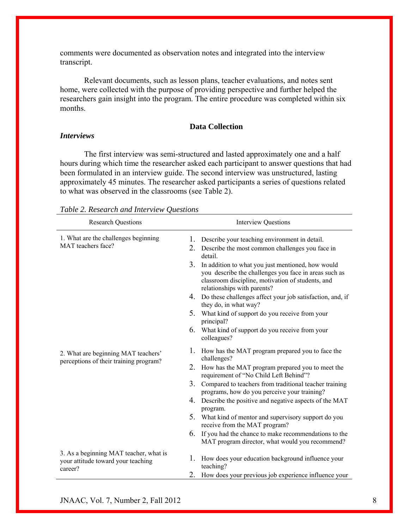comments were documented as observation notes and integrated into the interview transcript.

Relevant documents, such as lesson plans, teacher evaluations, and notes sent home, were collected with the purpose of providing perspective and further helped the researchers gain insight into the program. The entire procedure was completed within six months.

#### **Data Collection**

#### *Interviews*

 The first interview was semi-structured and lasted approximately one and a half hours during which time the researcher asked each participant to answer questions that had been formulated in an interview guide. The second interview was unstructured, lasting approximately 45 minutes. The researcher asked participants a series of questions related to what was observed in the classrooms (see Table 2).

| <b>Research Questions</b>                                                               | <b>Interview Questions</b>                                                                                                                                                                                                                                                                                                                                                                                                                                                                                                                                                   |  |  |  |
|-----------------------------------------------------------------------------------------|------------------------------------------------------------------------------------------------------------------------------------------------------------------------------------------------------------------------------------------------------------------------------------------------------------------------------------------------------------------------------------------------------------------------------------------------------------------------------------------------------------------------------------------------------------------------------|--|--|--|
| 1. What are the challenges beginning<br>MAT teachers face?                              | Describe your teaching environment in detail.<br>1.<br>2.<br>Describe the most common challenges you face in<br>detail<br>3.<br>In addition to what you just mentioned, how would<br>you describe the challenges you face in areas such as<br>classroom discipline, motivation of students, and<br>relationships with parents?<br>4. Do these challenges affect your job satisfaction, and, if<br>they do, in what way?<br>5. What kind of support do you receive from your<br>principal?<br>What kind of support do you receive from your<br>6.<br>colleagues?              |  |  |  |
| 2. What are beginning MAT teachers'<br>perceptions of their training program?           | 1.<br>How has the MAT program prepared you to face the<br>challenges?<br>2.<br>How has the MAT program prepared you to meet the<br>requirement of "No Child Left Behind"?<br>3.<br>Compared to teachers from traditional teacher training<br>programs, how do you perceive your training?<br>Describe the positive and negative aspects of the MAT<br>4.<br>program.<br>5. What kind of mentor and supervisory support do you<br>receive from the MAT program?<br>6. If you had the chance to make recommendations to the<br>MAT program director, what would you recommend? |  |  |  |
| 3. As a beginning MAT teacher, what is<br>your attitude toward your teaching<br>career? | 1.<br>How does your education background influence your<br>teaching?<br>2.<br>How does your previous job experience influence your                                                                                                                                                                                                                                                                                                                                                                                                                                           |  |  |  |

### *Table 2. Research and Interview Questions*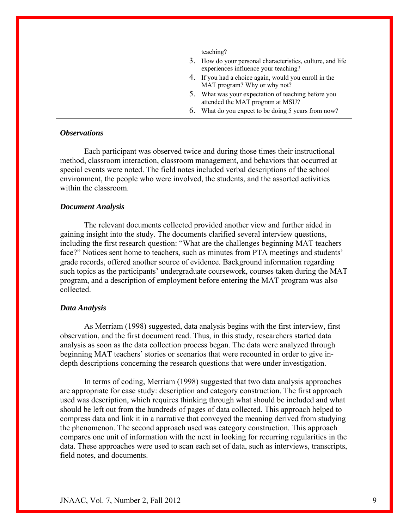teaching?

- 3. How do your personal characteristics, culture, and life experiences influence your teaching?
- 4. If you had a choice again, would you enroll in the MAT program? Why or why not?
- 5. What was your expectation of teaching before you attended the MAT program at MSU?
- 6. What do you expect to be doing 5 years from now?

#### *Observations*

Each participant was observed twice and during those times their instructional method, classroom interaction, classroom management, and behaviors that occurred at special events were noted. The field notes included verbal descriptions of the school environment, the people who were involved, the students, and the assorted activities within the classroom.

#### *Document Analysis*

The relevant documents collected provided another view and further aided in gaining insight into the study. The documents clarified several interview questions, including the first research question: "What are the challenges beginning MAT teachers face?" Notices sent home to teachers, such as minutes from PTA meetings and students' grade records, offered another source of evidence. Background information regarding such topics as the participants' undergraduate coursework, courses taken during the MAT program, and a description of employment before entering the MAT program was also collected.

#### *Data Analysis*

As Merriam (1998) suggested, data analysis begins with the first interview, first observation, and the first document read. Thus, in this study, researchers started data analysis as soon as the data collection process began. The data were analyzed through beginning MAT teachers' stories or scenarios that were recounted in order to give indepth descriptions concerning the research questions that were under investigation.

In terms of coding, Merriam (1998) suggested that two data analysis approaches are appropriate for case study: description and category construction. The first approach used was description, which requires thinking through what should be included and what should be left out from the hundreds of pages of data collected. This approach helped to compress data and link it in a narrative that conveyed the meaning derived from studying the phenomenon. The second approach used was category construction. This approach compares one unit of information with the next in looking for recurring regularities in the data. These approaches were used to scan each set of data, such as interviews, transcripts, field notes, and documents.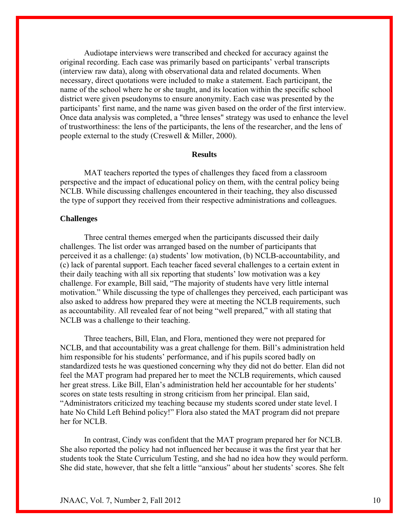Audiotape interviews were transcribed and checked for accuracy against the original recording. Each case was primarily based on participants' verbal transcripts (interview raw data), along with observational data and related documents. When necessary, direct quotations were included to make a statement. Each participant, the name of the school where he or she taught, and its location within the specific school district were given pseudonyms to ensure anonymity. Each case was presented by the participants' first name, and the name was given based on the order of the first interview. Once data analysis was completed, a "three lenses" strategy was used to enhance the level of trustworthiness: the lens of the participants, the lens of the researcher, and the lens of people external to the study (Creswell & Miller, 2000).

#### **Results**

MAT teachers reported the types of challenges they faced from a classroom perspective and the impact of educational policy on them, with the central policy being NCLB. While discussing challenges encountered in their teaching, they also discussed the type of support they received from their respective administrations and colleagues.

#### **Challenges**

Three central themes emerged when the participants discussed their daily challenges. The list order was arranged based on the number of participants that perceived it as a challenge: (a) students' low motivation, (b) NCLB-accountability, and (c) lack of parental support. Each teacher faced several challenges to a certain extent in their daily teaching with all six reporting that students' low motivation was a key challenge. For example, Bill said, "The majority of students have very little internal motivation." While discussing the type of challenges they perceived, each participant was also asked to address how prepared they were at meeting the NCLB requirements, such as accountability. All revealed fear of not being "well prepared," with all stating that NCLB was a challenge to their teaching.

Three teachers, Bill, Elan, and Flora, mentioned they were not prepared for NCLB, and that accountability was a great challenge for them. Bill's administration held him responsible for his students' performance, and if his pupils scored badly on standardized tests he was questioned concerning why they did not do better. Elan did not feel the MAT program had prepared her to meet the NCLB requirements, which caused her great stress. Like Bill, Elan's administration held her accountable for her students' scores on state tests resulting in strong criticism from her principal. Elan said, "Administrators criticized my teaching because my students scored under state level. I hate No Child Left Behind policy!" Flora also stated the MAT program did not prepare her for NCLB.

In contrast, Cindy was confident that the MAT program prepared her for NCLB. She also reported the policy had not influenced her because it was the first year that her students took the State Curriculum Testing, and she had no idea how they would perform. She did state, however, that she felt a little "anxious" about her students' scores. She felt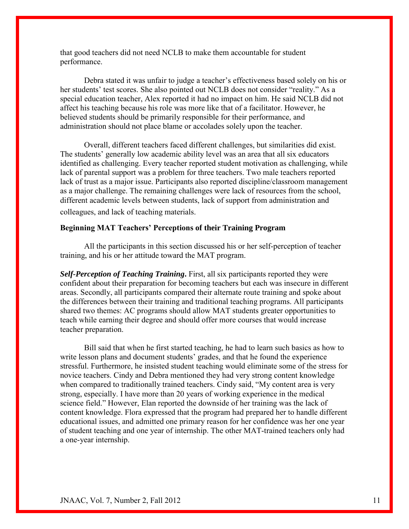that good teachers did not need NCLB to make them accountable for student performance.

Debra stated it was unfair to judge a teacher's effectiveness based solely on his or her students' test scores. She also pointed out NCLB does not consider "reality." As a special education teacher, Alex reported it had no impact on him. He said NCLB did not affect his teaching because his role was more like that of a facilitator. However, he believed students should be primarily responsible for their performance, and administration should not place blame or accolades solely upon the teacher.

Overall, different teachers faced different challenges, but similarities did exist. The students' generally low academic ability level was an area that all six educators identified as challenging. Every teacher reported student motivation as challenging, while lack of parental support was a problem for three teachers. Two male teachers reported lack of trust as a major issue. Participants also reported discipline/classroom management as a major challenge. The remaining challenges were lack of resources from the school, different academic levels between students, lack of support from administration and colleagues, and lack of teaching materials.

#### **Beginning MAT Teachers' Perceptions of their Training Program**

All the participants in this section discussed his or her self-perception of teacher training, and his or her attitude toward the MAT program.

*Self-Perception of Teaching Training***.** First, all six participants reported they were confident about their preparation for becoming teachers but each was insecure in different areas. Secondly, all participants compared their alternate route training and spoke about the differences between their training and traditional teaching programs. All participants shared two themes: AC programs should allow MAT students greater opportunities to teach while earning their degree and should offer more courses that would increase teacher preparation.

Bill said that when he first started teaching, he had to learn such basics as how to write lesson plans and document students' grades, and that he found the experience stressful. Furthermore, he insisted student teaching would eliminate some of the stress for novice teachers. Cindy and Debra mentioned they had very strong content knowledge when compared to traditionally trained teachers. Cindy said, "My content area is very strong, especially. I have more than 20 years of working experience in the medical science field." However, Elan reported the downside of her training was the lack of content knowledge. Flora expressed that the program had prepared her to handle different educational issues, and admitted one primary reason for her confidence was her one year of student teaching and one year of internship. The other MAT-trained teachers only had a one-year internship.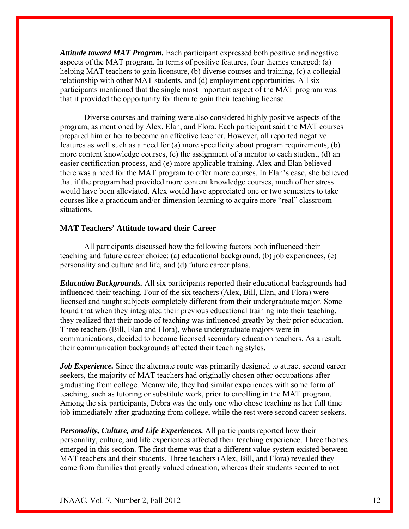*Attitude toward MAT Program.* Each participant expressed both positive and negative aspects of the MAT program. In terms of positive features, four themes emerged: (a) helping MAT teachers to gain licensure, (b) diverse courses and training, (c) a collegial relationship with other MAT students, and (d) employment opportunities. All six participants mentioned that the single most important aspect of the MAT program was that it provided the opportunity for them to gain their teaching license.

 Diverse courses and training were also considered highly positive aspects of the program, as mentioned by Alex, Elan, and Flora. Each participant said the MAT courses prepared him or her to become an effective teacher. However, all reported negative features as well such as a need for (a) more specificity about program requirements, (b) more content knowledge courses, (c) the assignment of a mentor to each student, (d) an easier certification process, and (e) more applicable training. Alex and Elan believed there was a need for the MAT program to offer more courses. In Elan's case, she believed that if the program had provided more content knowledge courses, much of her stress would have been alleviated. Alex would have appreciated one or two semesters to take courses like a practicum and/or dimension learning to acquire more "real" classroom situations.

#### **MAT Teachers' Attitude toward their Career**

All participants discussed how the following factors both influenced their teaching and future career choice: (a) educational background, (b) job experiences, (c) personality and culture and life, and (d) future career plans.

*Education Backgrounds.* All six participants reported their educational backgrounds had influenced their teaching. Four of the six teachers (Alex, Bill, Elan, and Flora) were licensed and taught subjects completely different from their undergraduate major. Some found that when they integrated their previous educational training into their teaching, they realized that their mode of teaching was influenced greatly by their prior education. Three teachers (Bill, Elan and Flora), whose undergraduate majors were in communications, decided to become licensed secondary education teachers. As a result, their communication backgrounds affected their teaching styles.

*Job Experience*. Since the alternate route was primarily designed to attract second career seekers, the majority of MAT teachers had originally chosen other occupations after graduating from college. Meanwhile, they had similar experiences with some form of teaching, such as tutoring or substitute work, prior to enrolling in the MAT program. Among the six participants, Debra was the only one who chose teaching as her full time job immediately after graduating from college, while the rest were second career seekers.

*Personality, Culture, and Life Experiences.* All participants reported how their personality, culture, and life experiences affected their teaching experience. Three themes emerged in this section. The first theme was that a different value system existed between MAT teachers and their students. Three teachers (Alex, Bill, and Flora) revealed they came from families that greatly valued education, whereas their students seemed to not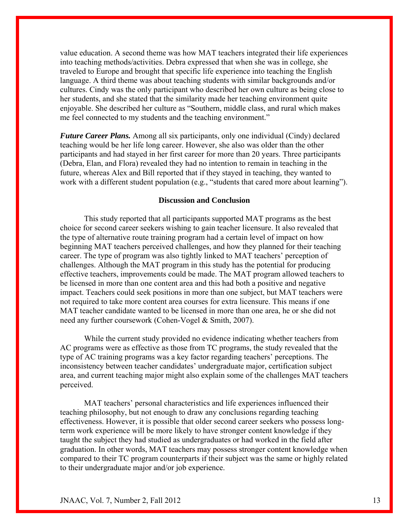value education. A second theme was how MAT teachers integrated their life experiences into teaching methods/activities. Debra expressed that when she was in college, she traveled to Europe and brought that specific life experience into teaching the English language. A third theme was about teaching students with similar backgrounds and/or cultures. Cindy was the only participant who described her own culture as being close to her students, and she stated that the similarity made her teaching environment quite enjoyable. She described her culture as "Southern, middle class, and rural which makes me feel connected to my students and the teaching environment."

*Future Career Plans.* Among all six participants, only one individual (Cindy) declared teaching would be her life long career. However, she also was older than the other participants and had stayed in her first career for more than 20 years. Three participants (Debra, Elan, and Flora) revealed they had no intention to remain in teaching in the future, whereas Alex and Bill reported that if they stayed in teaching, they wanted to work with a different student population (e.g., "students that cared more about learning").

#### **Discussion and Conclusion**

This study reported that all participants supported MAT programs as the best choice for second career seekers wishing to gain teacher licensure. It also revealed that the type of alternative route training program had a certain level of impact on how beginning MAT teachers perceived challenges, and how they planned for their teaching career. The type of program was also tightly linked to MAT teachers' perception of challenges. Although the MAT program in this study has the potential for producing effective teachers, improvements could be made. The MAT program allowed teachers to be licensed in more than one content area and this had both a positive and negative impact. Teachers could seek positions in more than one subject, but MAT teachers were not required to take more content area courses for extra licensure. This means if one MAT teacher candidate wanted to be licensed in more than one area, he or she did not need any further coursework (Cohen-Vogel & Smith, 2007).

While the current study provided no evidence indicating whether teachers from AC programs were as effective as those from TC programs, the study revealed that the type of AC training programs was a key factor regarding teachers' perceptions. The inconsistency between teacher candidates' undergraduate major, certification subject area, and current teaching major might also explain some of the challenges MAT teachers perceived.

MAT teachers' personal characteristics and life experiences influenced their teaching philosophy, but not enough to draw any conclusions regarding teaching effectiveness. However, it is possible that older second career seekers who possess longterm work experience will be more likely to have stronger content knowledge if they taught the subject they had studied as undergraduates or had worked in the field after graduation. In other words, MAT teachers may possess stronger content knowledge when compared to their TC program counterparts if their subject was the same or highly related to their undergraduate major and/or job experience.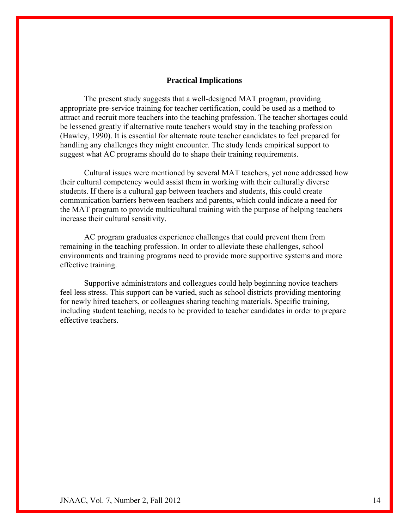#### **Practical Implications**

The present study suggests that a well-designed MAT program, providing appropriate pre-service training for teacher certification, could be used as a method to attract and recruit more teachers into the teaching profession. The teacher shortages could be lessened greatly if alternative route teachers would stay in the teaching profession (Hawley, 1990). It is essential for alternate route teacher candidates to feel prepared for handling any challenges they might encounter. The study lends empirical support to suggest what AC programs should do to shape their training requirements.

Cultural issues were mentioned by several MAT teachers, yet none addressed how their cultural competency would assist them in working with their culturally diverse students. If there is a cultural gap between teachers and students, this could create communication barriers between teachers and parents, which could indicate a need for the MAT program to provide multicultural training with the purpose of helping teachers increase their cultural sensitivity.

AC program graduates experience challenges that could prevent them from remaining in the teaching profession. In order to alleviate these challenges, school environments and training programs need to provide more supportive systems and more effective training.

Supportive administrators and colleagues could help beginning novice teachers feel less stress. This support can be varied, such as school districts providing mentoring for newly hired teachers, or colleagues sharing teaching materials. Specific training, including student teaching, needs to be provided to teacher candidates in order to prepare effective teachers.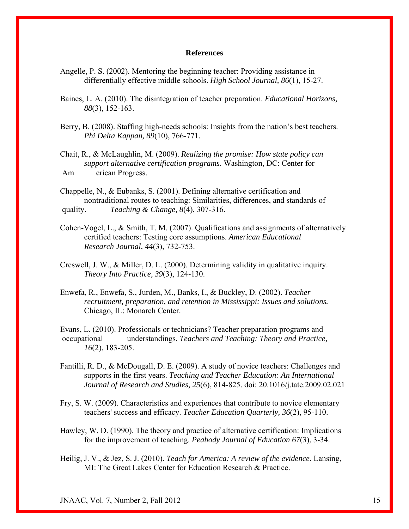#### **References**

- Angelle, P. S. (2002). Mentoring the beginning teacher: Providing assistance in differentially effective middle schools. *High School Journal, 86*(1), 15-27.
- Baines, L. A. (2010). The disintegration of teacher preparation. *Educational Horizons, 88*(3), 152-163.
- Berry, B. (2008). Staffing high-needs schools: Insights from the nation's best teachers. *Phi Delta Kappan, 89*(10), 766-771.

Chait, R., & McLaughlin, M. (2009). *Realizing the promise: How state policy can support alternative certification programs*. Washington, DC: Center for Am erican Progress.

- Chappelle, N., & Eubanks, S. (2001). Defining alternative certification and nontraditional routes to teaching: Similarities, differences, and standards of quality. *Teaching & Change, 8*(4), 307-316.
- Cohen-Vogel, L., & Smith, T. M. (2007). Qualifications and assignments of alternatively certified teachers: Testing core assumptions. *American Educational Research Journal, 44*(3), 732-753.
- Creswell, J. W., & Miller, D. L. (2000). Determining validity in qualitative inquiry. *Theory Into Practice, 39*(3), 124-130.
- Enwefa, R., Enwefa, S., Jurden, M., Banks, I., & Buckley, D. (2002). *Teacher recruitment, preparation, and retention in Mississippi: Issues and solutions.* Chicago, IL: Monarch Center.

Evans, L. (2010). Professionals or technicians? Teacher preparation programs and occupational understandings. *Teachers and Teaching: Theory and Practice, 16*(2), 183-205.

- Fantilli, R. D., & McDougall, D. E. (2009). A study of novice teachers: Challenges and supports in the first years. *Teaching and Teacher Education: An International Journal of Research and Studies, 25*(6), 814-825. doi: 20.1016/j.tate.2009.02.021
- Fry, S. W. (2009). Characteristics and experiences that contribute to novice elementary teachers' success and efficacy. *Teacher Education Quarterly, 36*(2), 95-110.
- Hawley, W. D. (1990). The theory and practice of alternative certification: Implications for the improvement of teaching. *Peabody Journal of Education 67*(3), 3-34.
- Heilig, J. V., & Jez, S. J. (2010). *Teach for America: A review of the evidence*. Lansing, MI: The Great Lakes Center for Education Research & Practice.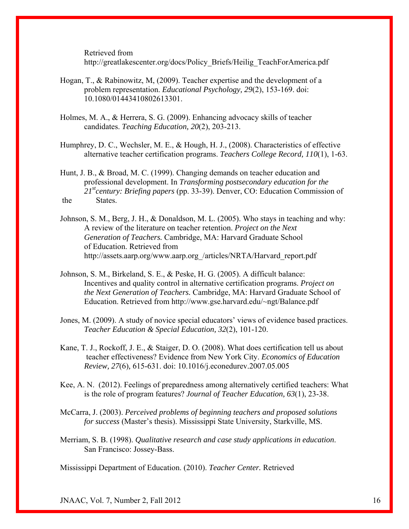Retrieved from

http://greatlakescenter.org/docs/Policy\_Briefs/Heilig\_TeachForAmerica.pdf

- Hogan, T., & Rabinowitz, M, (2009). Teacher expertise and the development of a problem representation. *Educational Psychology, 29*(2), 153-169. doi: 10.1080/01443410802613301.
- Holmes, M. A., & Herrera, S. G. (2009). Enhancing advocacy skills of teacher candidates. *Teaching Education, 20*(2), 203-213.
- Humphrey, D. C., Wechsler, M. E., & Hough, H. J., (2008). Characteristics of effective alternative teacher certification programs. *Teachers College Record, 110*(1), 1-63.
- Hunt, J. B., & Broad, M. C. (1999). Changing demands on teacher education and professional development. In *Transforming postsecondary education for the 21stcentury: Briefing papers* (pp. 33-39). Denver, CO: Education Commission of the States.
- Johnson, S. M., Berg, J. H., & Donaldson, M. L. (2005). Who stays in teaching and why: A review of the literature on teacher retention. *Project on the Next Generation of Teachers.* Cambridge, MA: Harvard Graduate School of Education. Retrieved from http://assets.aarp.org/www.aarp.org\_/articles/NRTA/Harvard\_report.pdf
- Johnson, S. M., Birkeland, S. E., & Peske, H. G. (2005). A difficult balance: Incentives and quality control in alternative certification programs. *Project on the Next Generation of Teachers.* Cambridge, MA: Harvard Graduate School of Education. Retrieved from http://www.gse.harvard.edu/~ngt/Balance.pdf
- Jones, M. (2009). A study of novice special educators' views of evidence based practices. *Teacher Education & Special Education, 32*(2), 101-120.
- Kane, T. J., Rockoff, J. E., & Staiger, D. O. (2008). What does certification tell us about teacher effectiveness? Evidence from New York City. *Economics of Education Review, 27*(6)*,* 615-631. doi: 10.1016/j.econedurev.2007.05.005
- Kee, A. N. (2012). Feelings of preparedness among alternatively certified teachers: What is the role of program features? *Journal of Teacher Education, 63*(1), 23-38.
- McCarra, J. (2003). *Perceived problems of beginning teachers and proposed solutions for success* (Master's thesis). Mississippi State University, Starkville, MS.
- Merriam, S. B. (1998). *Qualitative research and case study applications in education*. San Francisco: Jossey-Bass.

Mississippi Department of Education. (2010). *Teacher Center.* Retrieved